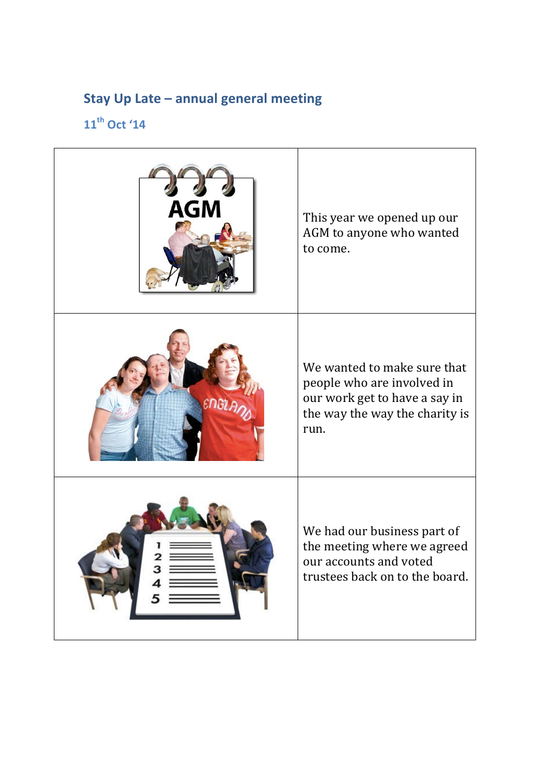## **Stay Up Late - annual general meeting**

## **11th Oct '14**

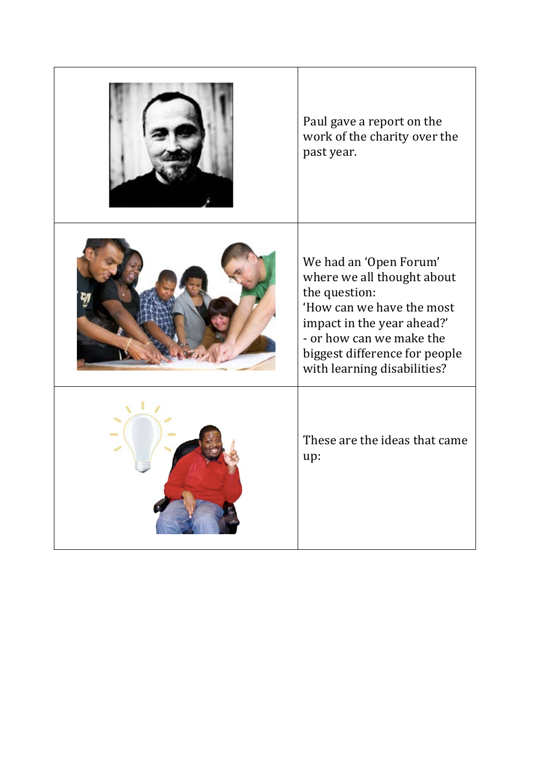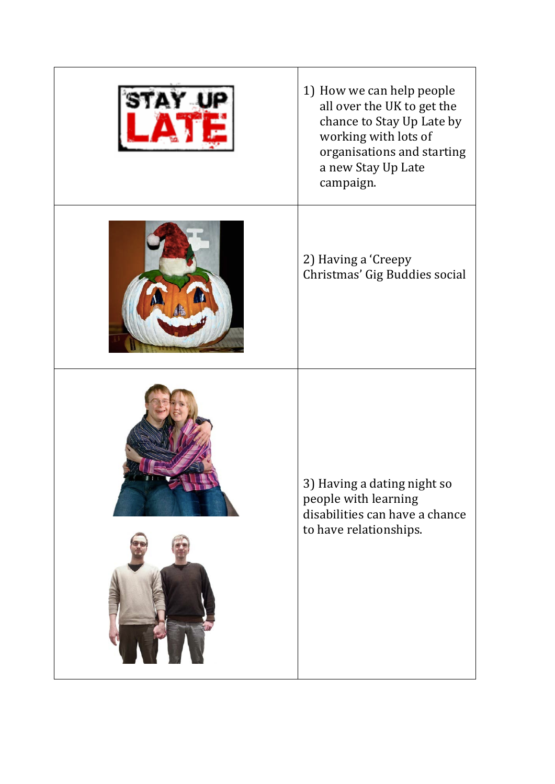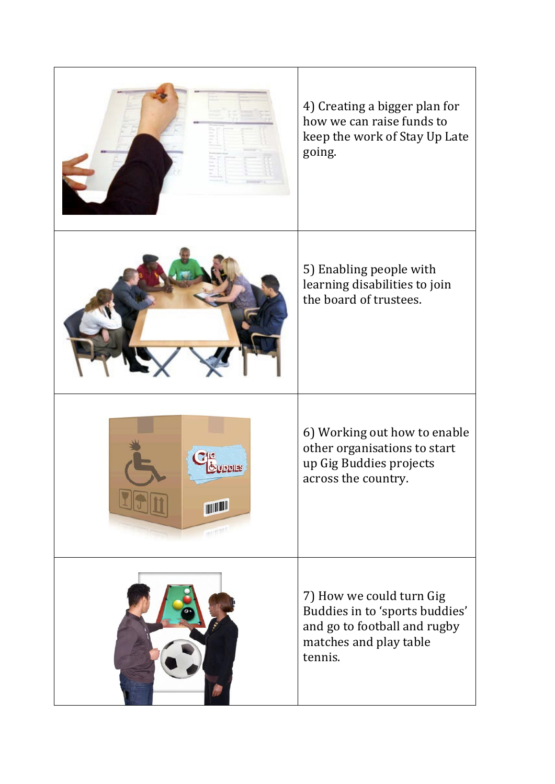